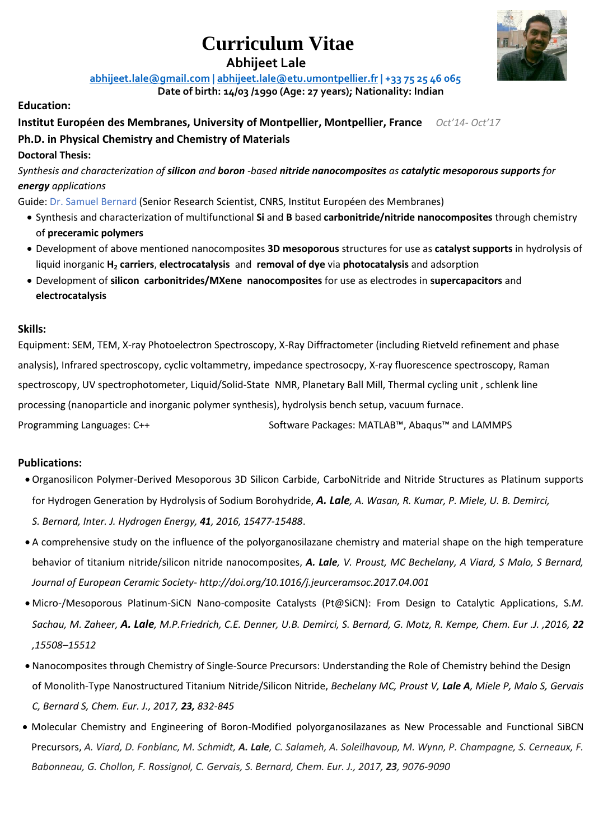# **Curriculum Vitae**

 **Abhijeet Lale**

**[abhijeet.lale@gmail.com](mailto:abhijeet.lale@gmail.com%20%7C) | [abhijeet.lale@e](mailto:abhijeet.lale@)tu.umontpellier.fr | +33 75 25 46 065**

**Date of birth: 14/03 /1990 (Age: 27 years); Nationality: Indian**

#### **Education:**

#### **Institut Européen des Membranes, University of Montpellier, Montpellier, France** *Oct'14- Oct'17* **Ph.D. in Physical Chemistry and Chemistry of Materials**

#### **Doctoral Thesis:**

*Synthesis and characterization of silicon and boron -based nitride nanocomposites as catalytic mesoporous supports for energy applications*

Guide: Dr. Samuel Bernard (Senior Research Scientist, CNRS, Institut Européen des Membranes)

- Synthesis and characterization of multifunctional **Si** and **B** based **carbonitride/nitride nanocomposites** through chemistry of **preceramic polymers**
- Development of above mentioned nanocomposites **3D mesoporous** structures for use as **catalyst supports** in hydrolysis of liquid inorganic **H<sup>2</sup> carriers**, **electrocatalysis** and **removal of dye** via **photocatalysis** and adsorption
- Development of **silicon carbonitrides/MXene nanocomposites** for use as electrodes in **supercapacitors** and **electrocatalysis**

#### **Skills:**

Equipment: SEM, TEM, X-ray Photoelectron Spectroscopy, X-Ray Diffractometer (including Rietveld refinement and phase analysis), Infrared spectroscopy, cyclic voltammetry, impedance spectrosocpy, X-ray fluorescence spectroscopy, Raman spectroscopy, UV spectrophotometer, Liquid/Solid-State NMR, Planetary Ball Mill, Thermal cycling unit , schlenk line processing (nanoparticle and inorganic polymer synthesis), hydrolysis bench setup, vacuum furnace.

Programming Languages: C++ Software Packages: MATLAB™, Abaqus™ and LAMMPS

#### **Publications:**

- Organosilicon Polymer-Derived Mesoporous 3D Silicon Carbide, CarboNitride and Nitride Structures as Platinum supports for Hydrogen Generation by Hydrolysis of Sodium Borohydride, *A. Lale, A. Wasan, R. Kumar, P. Miele, U. B. Demirci,* 
	- *S. Bernard, Inter. J. Hydrogen Energy, 41, 2016, 15477-15488*.
- A comprehensive study on the influence of the polyorganosilazane chemistry and material shape on the high temperature behavior of titanium nitride/silicon nitride nanocomposites, *A. Lale, V. Proust, MC Bechelany, A Viard, S Malo, S Bernard, Journal of European Ceramic Society- http://doi.org/10.1016/j.jeurceramsoc.2017.04.001*
- Micro-/Mesoporous Platinum-SiCN Nano-composite Catalysts (Pt@SiCN): From Design to Catalytic Applications, S*.M. Sachau, M. Zaheer, A. Lale, M.P.Friedrich, C.E. Denner, U.B. Demirci, S. Bernard, G. Motz, R. Kempe, Chem. Eur .J. ,2016, 22 ,15508–15512*
- Nanocomposites through Chemistry of Single-Source Precursors: Understanding the Role of Chemistry behind the Design of Monolith-Type Nanostructured Titanium Nitride/Silicon Nitride, *Bechelany MC, Proust V, Lale A, Miele P, Malo S, Gervais C, Bernard S, Chem. Eur. J., 2017, 23, 832-845*
- Molecular Chemistry and Engineering of Boron-Modified polyorganosilazanes as New Processable and Functional SiBCN Precursors, *A. Viard, D. Fonblanc, M. Schmidt, A. Lale, C. Salameh, A. Soleilhavoup, M. Wynn, P. Champagne, S. Cerneaux, F. Babonneau, G. Chollon, F. Rossignol, C. Gervais, S. Bernard, Chem. Eur. J., 2017, 23, 9076-9090*

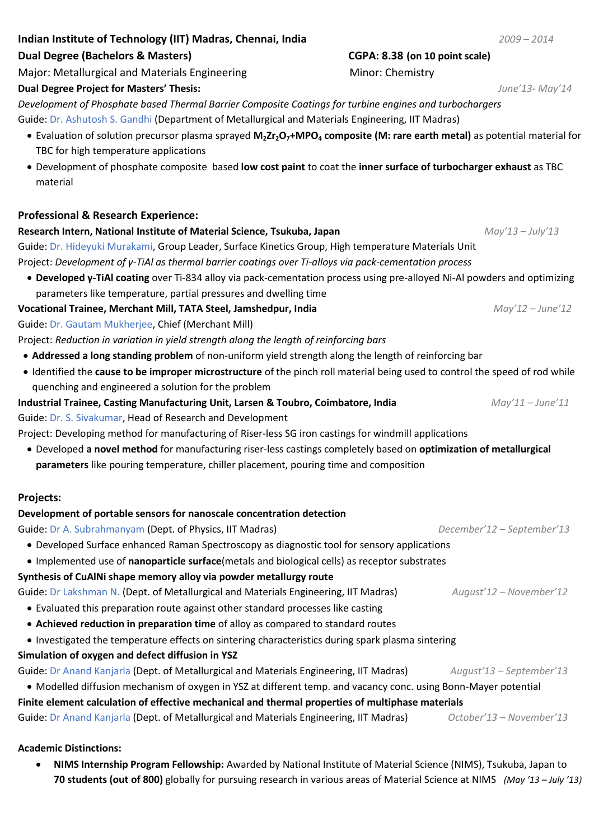# **Indian Institute of Technology (IIT) Madras, Chennai, India** *2009 – 2014*

#### **Dual Degree (Bachelors & Masters) CGPA: 8.38 (on 10 point scale)**

Major: Metallurgical and Materials Engineering Minor: Chemistry

#### **Dual Degree Project for Masters' Thesis:** *June'13- May'14*

*Development of Phosphate based Thermal Barrier Composite Coatings for turbine engines and turbochargers*  Guide: Dr. Ashutosh S. Gandhi (Department of Metallurgical and Materials Engineering, IIT Madras)

- Evaluation of solution precursor plasma sprayed **M2Zr2O7+MPO<sup>4</sup> composite (M: rare earth metal)** as potential material for TBC for high temperature applications
- Development of phosphate composite based **low cost paint** to coat the **inner surface of turbocharger exhaust** as TBC material

# **Professional & Research Experience:**

#### **Research Intern, National Institute of Material Science, Tsukuba, Japan** *May'13 – July'13*

Guide: Dr. Hideyuki Murakami, Group Leader, Surface Kinetics Group, High temperature Materials Unit Project: *Development of γ-TiAl as thermal barrier coatings over Ti-alloys via pack-cementation process*

 **Developed γ-TiAl coating** over Ti-834 alloy via pack-cementation process using pre-alloyed Ni-Al powders and optimizing parameters like temperature, partial pressures and dwelling time

# **Vocational Trainee, Merchant Mill, TATA Steel, Jamshedpur, India** *May'12 – June'12*

Guide: Dr. Gautam Mukherjee, Chief (Merchant Mill)

Project: *Reduction in variation in yield strength along the length of reinforcing bars*

- **Addressed a long standing problem** of non-uniform yield strength along the length of reinforcing bar
- Identified the **cause to be improper microstructure** of the pinch roll material being used to control the speed of rod while quenching and engineered a solution for the problem

#### **Industrial Trainee, Casting Manufacturing Unit, Larsen & Toubro, Coimbatore, India** *May'11 – June'11*

Guide: Dr. S. Sivakumar, Head of Research and Development

Project: Developing method for manufacturing of Riser-less SG iron castings for windmill applications

 Developed **a novel method** for manufacturing riser-less castings completely based on **optimization of metallurgical parameters** like pouring temperature, chiller placement, pouring time and composition

# **Projects:**

# **Development of portable sensors for nanoscale concentration detection**

Guide: Dr A. Subrahmanyam (Dept. of Physics, IIT Madras) *December'12 – September'13*

- Developed Surface enhanced Raman Spectroscopy as diagnostic tool for sensory applications
- Implemented use of **nanoparticle surface**(metals and biological cells) as receptor substrates

# **Synthesis of CuAlNi shape memory alloy via powder metallurgy route**

Guide: Dr Lakshman N. (Dept. of Metallurgical and Materials Engineering, IIT Madras) *August'12 – November'12*

- Evaluated this preparation route against other standard processes like casting
- **Achieved reduction in preparation time** of alloy as compared to standard routes
- Investigated the temperature effects on sintering characteristics during spark plasma sintering

# **Simulation of oxygen and defect diffusion in YSZ**

Guide: Dr Anand Kanjarla (Dept. of Metallurgical and Materials Engineering, IIT Madras) *August'13 – September'13*

 Modelled diffusion mechanism of oxygen in YSZ at different temp. and vacancy conc. using Bonn-Mayer potential **Finite element calculation of effective mechanical and thermal properties of multiphase materials**

Guide: Dr Anand Kanjarla (Dept. of Metallurgical and Materials Engineering, IIT Madras) *October'13 – November'13*

# **Academic Distinctions:**

 **NIMS Internship Program Fellowship:** Awarded by National Institute of Material Science (NIMS), Tsukuba, Japan to **70 students (out of 800)** globally for pursuing research in various areas of Material Science at NIMS *(May '13 – July '13)*